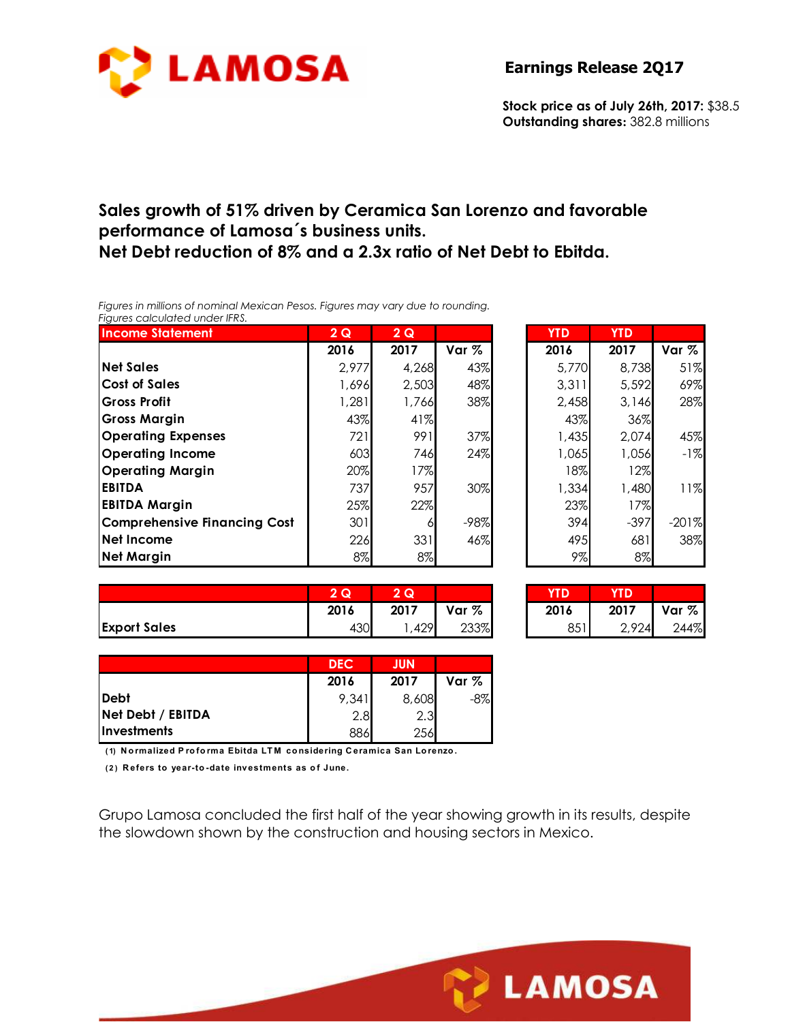

**Stock price as of July 26th, 2017:** \$38.5 **Outstanding shares:** 382.8 millions

#### **Sales growth of 51% driven by Ceramica San Lorenzo and favorable performance of Lamosa´s business units. Net Debt reduction of 8% and a 2.3x ratio of Net Debt to Ebitda.**

*Figures in millions of nominal Mexican Pesos. Figures may vary due to rounding. Figures calculated under IFRS.* 

| <b>Income Statement</b>             | 2Q    | 2Q    |        | <b>YTD</b> | <b>YTD</b> |         |
|-------------------------------------|-------|-------|--------|------------|------------|---------|
|                                     | 2016  | 2017  | Var %  | 2016       | 2017       | Var %   |
| <b>Net Sales</b>                    | 2,977 | 4,268 | 43%    | 5,770      | 8,738      | 51%     |
| <b>Cost of Sales</b>                | 1,696 | 2,503 | 48%    | 3,311      | 5,592      | 69%     |
| <b>Gross Profit</b>                 | 1,281 | 1,766 | 38%    | 2,458      | 3,146      | 28%     |
| <b>Gross Margin</b>                 | 43%   | 41%   |        | 43%        | 36%        |         |
| <b>Operating Expenses</b>           | 721I  | 991   | 37%    | 1,435      | 2,074      | 45%     |
| <b>Operating Income</b>             | 603   | 746   | 24%    | 1,065      | 1,056      | $-1%$   |
| <b>Operating Margin</b>             | 20%   | 17%   |        | 18%        | 12%        |         |
| <b>EBITDA</b>                       | 737   | 957   | 30%    | 1,334      | 1,480      | 11%     |
| <b>EBITDA Margin</b>                | 25%   | 22%   |        | 23%        | 17%        |         |
| <b>Comprehensive Financing Cost</b> | 301   | 6     | $-98%$ | 394        | $-397$     | $-201%$ |
| Net Income                          | 226   | 331   | 46%    | 495        | 681        | 38%     |
| <b>Net Margin</b>                   | 8%    | 8%    |        | 9%         | 8%         |         |

| 2Q    | 2Q    |        | <b>YTD</b> | <b>YTD</b> |         |
|-------|-------|--------|------------|------------|---------|
| 2016  | 2017  | Var %  | 2016       | 2017       | Var %   |
| 2,977 | 4,268 | 43%    | 5,770      | 8,738      | 51%     |
| 1,696 | 2,503 | 48%    | 3,311      | 5,592      | 69%     |
| 1,281 | 1,766 | 38%    | 2,458      | 3,146      | 28%     |
| 43%   | 41%   |        | 43%        | 36%        |         |
| 721   | 991   | 37%    | 1,435      | 2.074      | 45%     |
| 603   | 746   | 24%    | 1,065      | 1,056      | $-1%$   |
| 20%   | 17%   |        | 18%        | 12%        |         |
| 737   | 957   | 30%    | 1,334      | 1,480      | 11%     |
| 25%   | 22%   |        | 23%        | 17%        |         |
| 301   |       | $-98%$ | 394        | $-397$     | $-201%$ |
| 226   | 331   | 46%    | 495        | 681        | 38%     |
| 8%    | 8%    |        | 9%         | 8%         |         |

|                     | $\Omega$<br>w | 2Q   |       | YTD  | YTD   |       |
|---------------------|---------------|------|-------|------|-------|-------|
|                     | 2016          | 2017 | Var % | 2016 | 2017  | Var % |
| <b>Export Sales</b> | 430           | 429  | 233%  | 851  | 2,924 | 244%  |

| 2Q   | Q    |       |      |       |       |
|------|------|-------|------|-------|-------|
| 2016 | 2017 | Var % | 2016 | 2017  | Var % |
| 430  | ,429 | 233%  | 851  | 2.924 | 244%  |

|                    | <b>DEC</b> | <b>JUN</b> |        |
|--------------------|------------|------------|--------|
|                    | 2016       | 2017       | Var %  |
| <b>Debt</b>        | 9,341      | 8,608      | $-8\%$ |
| Net Debt / EBITDA  | 2.8        | 2.3        |        |
| <b>Investments</b> | 886        | 256        |        |

**( 1) N o rmalized P ro fo rma Ebitda LT M co nsidering C eramica San Lo renzo .**

**( 2 ) R efers to year-to -date investments as o f June.**

Grupo Lamosa concluded the first half of the year showing growth in its results, despite the slowdown shown by the construction and housing sectors in Mexico.

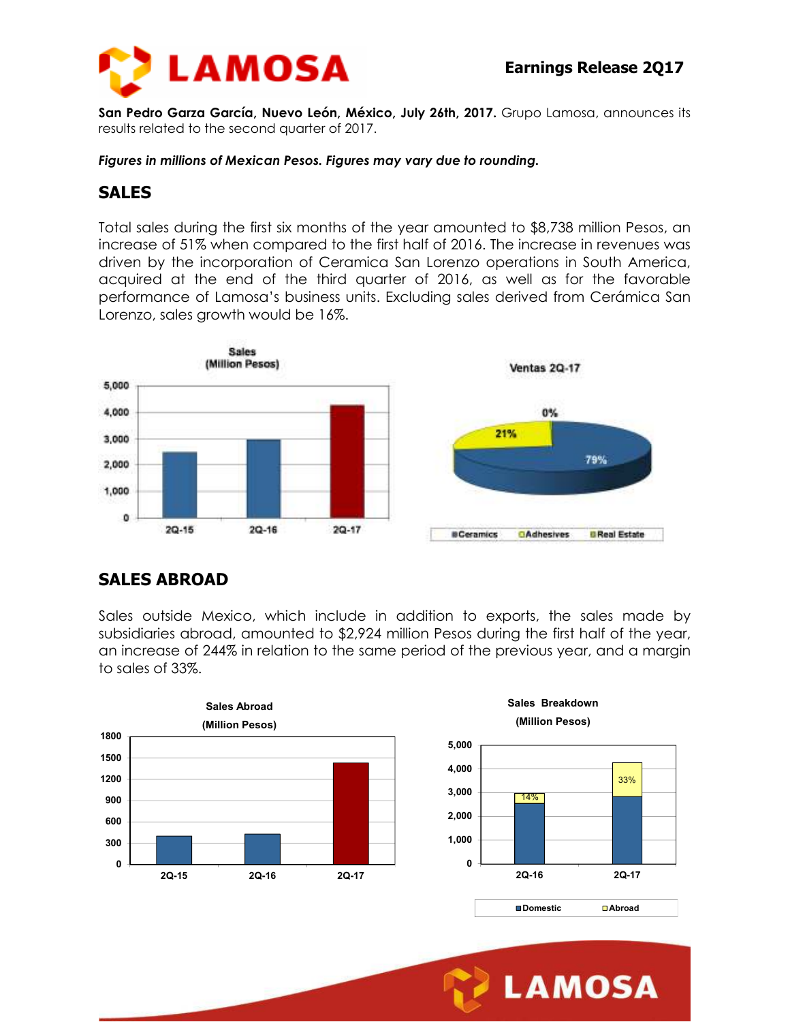

**San Pedro Garza García, Nuevo León, México, July 26th, 2017.** Grupo Lamosa, announces its results related to the second quarter of 2017.

*Figures in millions of Mexican Pesos. Figures may vary due to rounding.* 

#### **SALES**

Total sales during the first six months of the year amounted to \$8,738 million Pesos, an increase of 51% when compared to the first half of 2016. The increase in revenues was driven by the incorporation of Ceramica San Lorenzo operations in South America, acquired at the end of the third quarter of 2016, as well as for the favorable performance of Lamosa's business units. Excluding sales derived from Cerámica San Lorenzo, sales growth would be 16%.



### **SALES ABROAD**

Sales outside Mexico, which include in addition to exports, the sales made by subsidiaries abroad, amounted to \$2,924 million Pesos during the first half of the year, an increase of 244% in relation to the same period of the previous year, and a margin to sales of 33%.







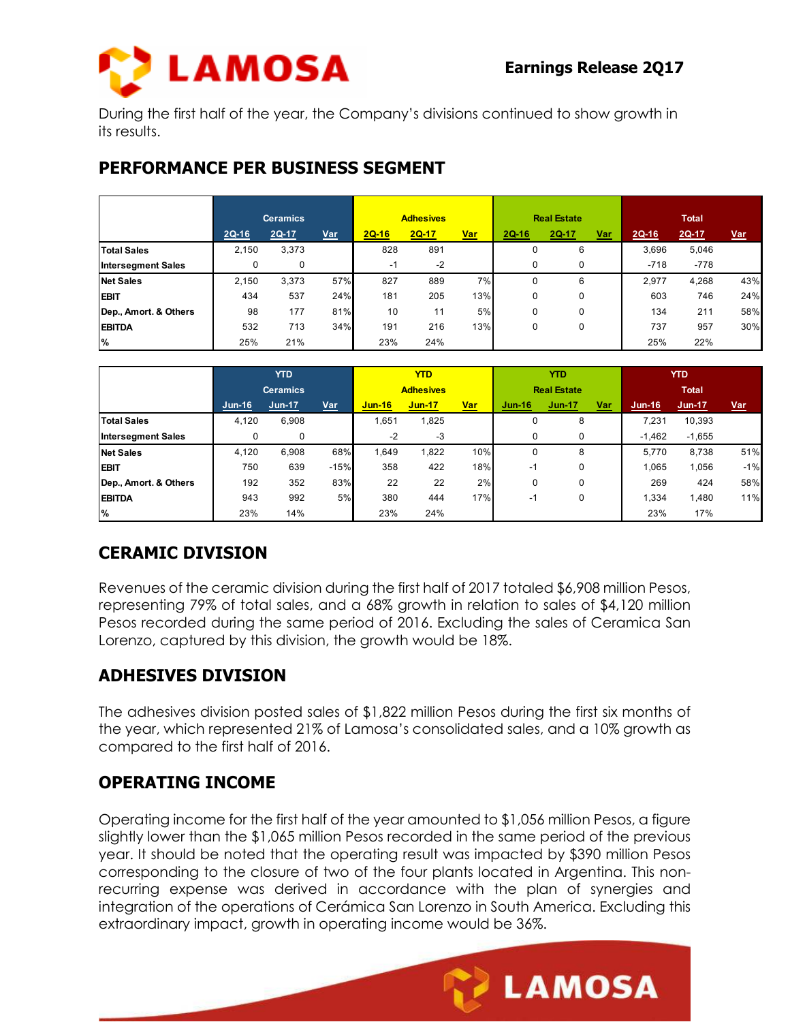

**LAMOSA** 

During the first half of the year, the Company's divisions continued to show growth in its results.

#### **PERFORMANCE PER BUSINESS SEGMENT**

|                           |         | <b>Ceramics</b> |            | <b>Adhesives</b> |         |            | <b>Real Estate</b> |       |       | <b>Total</b> |        |            |
|---------------------------|---------|-----------------|------------|------------------|---------|------------|--------------------|-------|-------|--------------|--------|------------|
|                           | $2Q-16$ | 2Q-17           | <b>Var</b> | $2Q-16$          | $2Q-17$ | <u>Var</u> | <b>2Q-16</b>       | 2Q-17 | $Var$ | $2Q-16$      | 2Q-17  | <u>Var</u> |
| <b>Total Sales</b>        | 2,150   | 3,373           |            | 828              | 891     |            |                    | 6     |       | 3.696        | 5,046  |            |
| <b>Intersegment Sales</b> |         | 0               |            | -1               | $-2$    |            | 0                  | 0     |       | $-718$       | $-778$ |            |
| <b>Net Sales</b>          | 2.150   | 3,373           | 57%        | 827              | 889     | 7%         | 0                  | 6     |       | 2.977        | 4.268  | 43%        |
| <b>EBIT</b>               | 434     | 537             | 24%        | 181              | 205     | 13%        |                    | 0     |       | 603          | 746    | 24%        |
| Dep., Amort. & Others     | 98      | 177             | 81%        | 10               | 11      | 5%         | 0                  | 0     |       | 134          | 211    | 58%        |
| <b>EBITDA</b>             | 532     | 713             | 34%        | 191              | 216     | 13%        | 0                  | 0     |       | 737          | 957    | 30%        |
| $\%$                      | 25%     | 21%             |            | 23%              | 24%     |            |                    |       |       | 25%          | 22%    |            |

|                           | <b>YTD</b> |                 |            | <b>YTD</b>       |               |            | <b>YTD</b>         |          |       | <b>YTD</b>   |          |            |
|---------------------------|------------|-----------------|------------|------------------|---------------|------------|--------------------|----------|-------|--------------|----------|------------|
|                           |            | <b>Ceramics</b> |            | <b>Adhesives</b> |               |            | <b>Real Estate</b> |          |       | <b>Total</b> |          |            |
|                           | $Jun-16$   | $Jun-17$        | <u>Var</u> | $Jun-16$         | <b>Jun-17</b> | <u>Var</u> | $Jun-16$           | $Jun-17$ | $Var$ | $Jun-16$     | Jun-17   | <u>Var</u> |
| <b>Total Sales</b>        | 4,120      | 6,908           |            | .651             | 1,825         |            |                    | 8        |       | 7.231        | 10,393   |            |
| <b>Intersegment Sales</b> | $\Omega$   | 0               |            | $-2$             | -3            |            |                    | 0        |       | $-1,462$     | $-1,655$ |            |
| <b>Net Sales</b>          | 4,120      | 6.908           | 68%        | 1.649            | 1,822         | 10%        |                    | 8        |       | 5.770        | 8,738    | 51%        |
| <b>EBIT</b>               | 750        | 639             | $-15%$     | 358              | 422           | 18%        | $-1$               | 0        |       | 1.065        | 1,056    | $-1%$      |
| Dep., Amort. & Others     | 192        | 352             | 83%        | 22               | 22            | 2%         | 0                  | 0        |       | 269          | 424      | 58%        |
| <b>EBITDA</b>             | 943        | 992             | 5%         | 380              | 444           | 17%        | $-1$               | 0        |       | 1,334        | 1,480    | 11%        |
| %                         | 23%        | 14%             |            | 23%              | 24%           |            |                    |          |       | 23%          | 17%      |            |

# **CERAMIC DIVISION**

Revenues of the ceramic division during the first half of 2017 totaled \$6,908 million Pesos, representing 79% of total sales, and a 68% growth in relation to sales of \$4,120 million Pesos recorded during the same period of 2016. Excluding the sales of Ceramica San Lorenzo, captured by this division, the growth would be 18%.

# **ADHESIVES DIVISION**

The adhesives division posted sales of \$1,822 million Pesos during the first six months of the year, which represented 21% of Lamosa's consolidated sales, and a 10% growth as compared to the first half of 2016.

# **OPERATING INCOME**

Operating income for the first half of the year amounted to \$1,056 million Pesos, a figure slightly lower than the \$1,065 million Pesos recorded in the same period of the previous year. It should be noted that the operating result was impacted by \$390 million Pesos corresponding to the closure of two of the four plants located in Argentina. This nonrecurring expense was derived in accordance with the plan of synergies and integration of the operations of Cerámica San Lorenzo in South America. Excluding this extraordinary impact, growth in operating income would be 36%.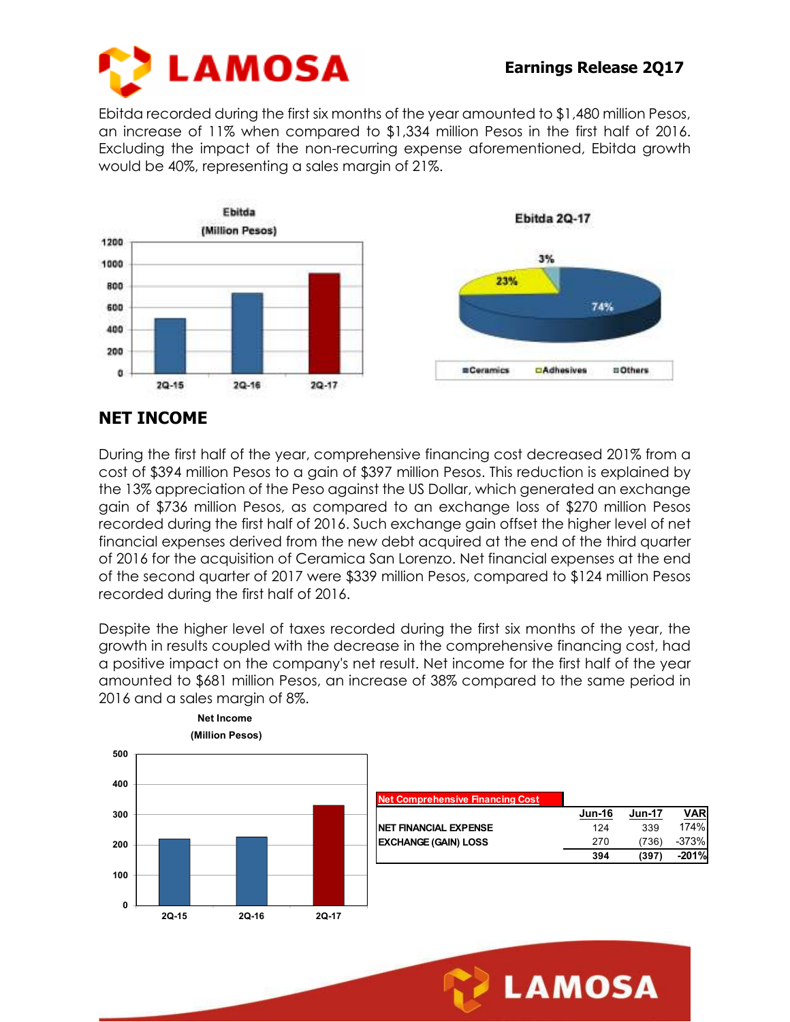

**LAMOSA** 

Ebitda recorded during the first six months of the year amounted to \$1,480 million Pesos, an increase of 11% when compared to \$1,334 million Pesos in the first half of 2016. Excluding the impact of the non-recurring expense aforementioned, Ebitda growth would be 40%, representing a sales margin of 21%.



### **NET INCOME**

During the first half of the year, comprehensive financing cost decreased 201% from a cost of \$394 million Pesos to a gain of \$397 million Pesos. This reduction is explained by the 13% appreciation of the Peso against the US Dollar, which generated an exchange gain of \$736 million Pesos, as compared to an exchange loss of \$270 million Pesos recorded during the first half of 2016. Such exchange gain offset the higher level of net financial expenses derived from the new debt acquired at the end of the third quarter of 2016 for the acquisition of Ceramica San Lorenzo. Net financial expenses at the end of the second quarter of 2017 were \$339 million Pesos, compared to \$124 million Pesos recorded during the first half of 2016.

Despite the higher level of taxes recorded during the first six months of the year, the growth in results coupled with the decrease in the comprehensive financing cost, had a positive impact on the company's net result. Net income for the first half of the year amounted to \$681 million Pesos, an increase of 38% compared to the same period in 2016 and a sales margin of 8%.